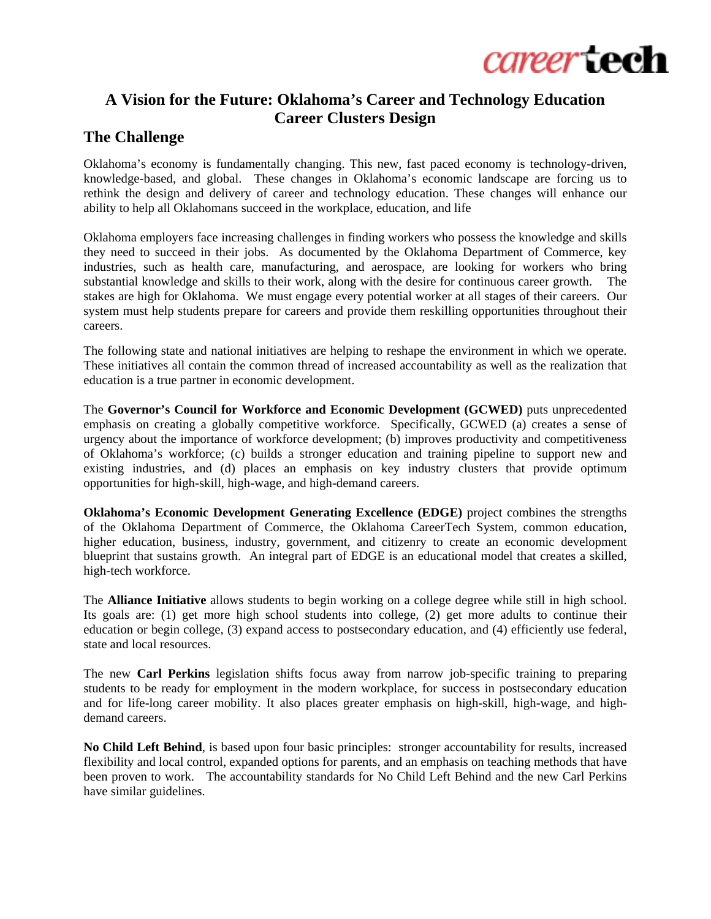

## **A Vision for the Future: Oklahoma's Career and Technology Education Career Clusters Design**

## **The Challenge**

Oklahoma's economy is fundamentally changing. This new, fast paced economy is technology-driven, knowledge-based, and global. These changes in Oklahoma's economic landscape are forcing us to rethink the design and delivery of career and technology education. These changes will enhance our ability to help all Oklahomans succeed in the workplace, education, and life

Oklahoma employers face increasing challenges in finding workers who possess the knowledge and skills they need to succeed in their jobs. As documented by the Oklahoma Department of Commerce, key industries, such as health care, manufacturing, and aerospace, are looking for workers who bring substantial knowledge and skills to their work, along with the desire for continuous career growth. The stakes are high for Oklahoma. We must engage every potential worker at all stages of their careers. Our system must help students prepare for careers and provide them reskilling opportunities throughout their careers.

The following state and national initiatives are helping to reshape the environment in which we operate. These initiatives all contain the common thread of increased accountability as well as the realization that education is a true partner in economic development.

The **Governor's Council for Workforce and Economic Development (GCWED)** puts unprecedented emphasis on creating a globally competitive workforce. Specifically, GCWED (a) creates a sense of urgency about the importance of workforce development; (b) improves productivity and competitiveness of Oklahoma's workforce; (c) builds a stronger education and training pipeline to support new and existing industries, and (d) places an emphasis on key industry clusters that provide optimum opportunities for high-skill, high-wage, and high-demand careers.

**Oklahoma's Economic Development Generating Excellence (EDGE)** project combines the strengths of the Oklahoma Department of Commerce, the Oklahoma CareerTech System, common education, higher education, business, industry, government, and citizenry to create an economic development blueprint that sustains growth. An integral part of EDGE is an educational model that creates a skilled, high-tech workforce.

The **Alliance Initiative** allows students to begin working on a college degree while still in high school. Its goals are: (1) get more high school students into college, (2) get more adults to continue their education or begin college, (3) expand access to postsecondary education, and (4) efficiently use federal, state and local resources.

The new **Carl Perkins** legislation shifts focus away from narrow job-specific training to preparing students to be ready for employment in the modern workplace, for success in postsecondary education and for life-long career mobility. It also places greater emphasis on high-skill, high-wage, and highdemand careers.

**No Child Left Behind**, is based upon four basic principles: stronger accountability for results, increased flexibility and local control, expanded options for parents, and an emphasis on teaching methods that have been proven to work. The accountability standards for No Child Left Behind and the new Carl Perkins have similar guidelines.